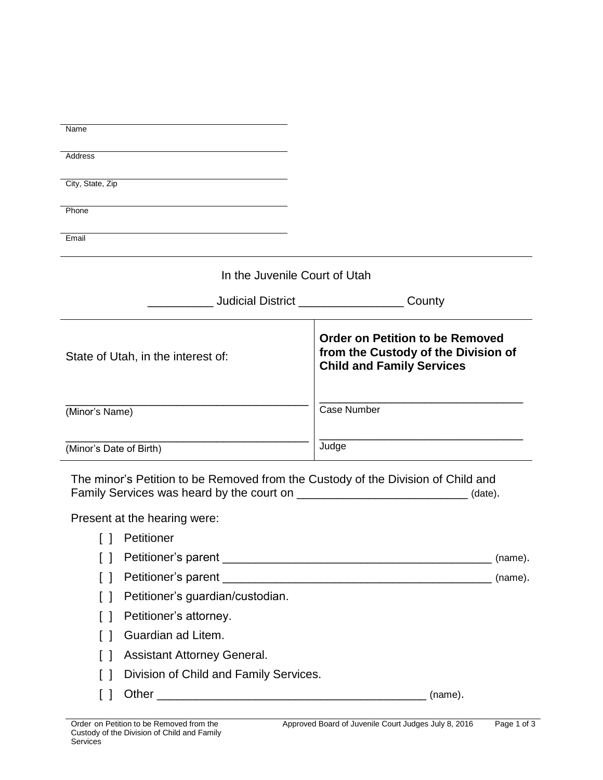| Name                                                                             |                                                                                                                   |
|----------------------------------------------------------------------------------|-------------------------------------------------------------------------------------------------------------------|
| Address                                                                          |                                                                                                                   |
| City, State, Zip                                                                 |                                                                                                                   |
| Phone                                                                            |                                                                                                                   |
| Email                                                                            |                                                                                                                   |
|                                                                                  |                                                                                                                   |
| In the Juvenile Court of Utah                                                    |                                                                                                                   |
|                                                                                  | Judicial District <b>Analysis Judicial District</b><br>County                                                     |
| State of Utah, in the interest of:                                               | <b>Order on Petition to be Removed</b><br>from the Custody of the Division of<br><b>Child and Family Services</b> |
| (Minor's Name)                                                                   | <b>Case Number</b>                                                                                                |
| (Minor's Date of Birth)                                                          | Judge                                                                                                             |
| The minor's Petition to be Removed from the Custody of the Division of Child and | (date).                                                                                                           |
| Present at the hearing were:                                                     |                                                                                                                   |
| Petitioner<br>$\perp$                                                            |                                                                                                                   |
|                                                                                  |                                                                                                                   |
| $\Box$                                                                           |                                                                                                                   |
| Petitioner's guardian/custodian.<br>$\Box$                                       |                                                                                                                   |
| Petitioner's attorney.<br>$\lceil$ $\rceil$                                      |                                                                                                                   |
| Guardian ad Litem.<br>$\Box$                                                     |                                                                                                                   |
| Assistant Attorney General.<br>$\Box$                                            |                                                                                                                   |
| Division of Child and Family Services.<br>$\Box$                                 |                                                                                                                   |
| $\Box$                                                                           | (name).                                                                                                           |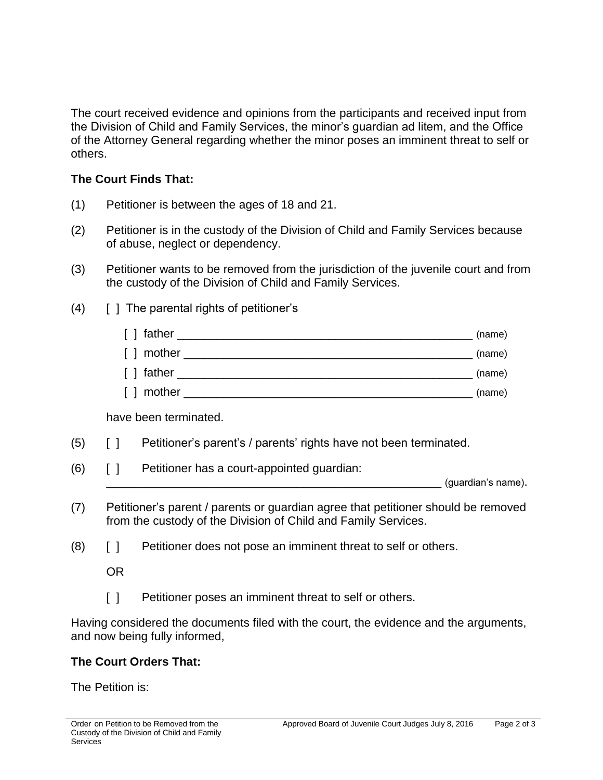The court received evidence and opinions from the participants and received input from the Division of Child and Family Services, the minor's guardian ad litem, and the Office of the Attorney General regarding whether the minor poses an imminent threat to self or others.

## **The Court Finds That:**

- (1) Petitioner is between the ages of 18 and 21.
- (2) Petitioner is in the custody of the Division of Child and Family Services because of abuse, neglect or dependency.
- (3) Petitioner wants to be removed from the jurisdiction of the juvenile court and from the custody of the Division of Child and Family Services.
- (4) [ ] The parental rights of petitioner's

| [ ] father       | (name) |
|------------------|--------|
| [ ] mother       | (name) |
| [ ] father       | (name) |
| mother<br>$\Box$ | (name) |

have been terminated.

- (5) [ ] Petitioner's parent's / parents' rights have not been terminated.
- (6) [ ] Petitioner has a court-appointed guardian:

\_\_\_\_\_\_\_\_\_\_\_\_\_\_\_\_\_\_\_\_\_\_\_\_\_\_\_\_\_\_\_\_\_\_\_\_\_\_\_\_\_\_\_\_\_\_\_\_\_\_\_ (guardian's name).

- (7) Petitioner's parent / parents or guardian agree that petitioner should be removed from the custody of the Division of Child and Family Services.
- (8) [ ] Petitioner does not pose an imminent threat to self or others.

OR

[ ] Petitioner poses an imminent threat to self or others.

Having considered the documents filed with the court, the evidence and the arguments, and now being fully informed,

## **The Court Orders That:**

The Petition is: